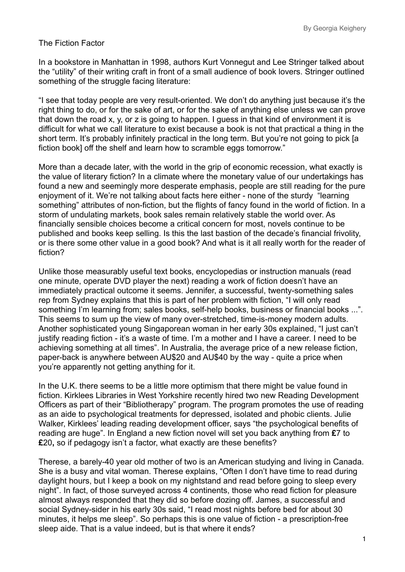## The Fiction Factor

In a bookstore in Manhattan in 1998, authors Kurt Vonnegut and Lee Stringer talked about the "utility" of their writing craft in front of a small audience of book lovers. Stringer outlined something of the struggle facing literature:

"I see that today people are very result-oriented. We don't do anything just because it's the right thing to do, or for the sake of art, or for the sake of anything else unless we can prove that down the road x, y, or z is going to happen. I guess in that kind of environment it is difficult for what we call literature to exist because a book is not that practical a thing in the short term. It's probably infinitely practical in the long term. But you're not going to pick [a] fiction book] off the shelf and learn how to scramble eggs tomorrow."

More than a decade later, with the world in the grip of economic recession, what exactly is the value of literary fiction? In a climate where the monetary value of our undertakings has found a new and seemingly more desperate emphasis, people are still reading for the pure enjoyment of it. We're not talking about facts here either - none of the sturdy "learning something" attributes of non-fiction, but the flights of fancy found in the world of fiction. In a storm of undulating markets, book sales remain relatively stable the world over. As financially sensible choices become a critical concern for most, novels continue to be published and books keep selling. Is this the last bastion of the decade's financial frivolity, or is there some other value in a good book? And what is it all really worth for the reader of fiction?

Unlike those measurably useful text books, encyclopedias or instruction manuals (read one minute, operate DVD player the next) reading a work of fiction doesn't have an immediately practical outcome it seems. Jennifer, a successful, twenty-something sales rep from Sydney explains that this is part of her problem with fiction, "I will only read something I'm learning from; sales books, self-help books, business or financial books ...". This seems to sum up the view of many over-stretched, time-is-money modern adults. Another sophisticated young Singaporean woman in her early 30s explained, "I just can't justify reading fiction - it's a waste of time. I'm a mother and I have a career. I need to be achieving something at all times". In Australia, the average price of a new release fiction, paper-back is anywhere between AU\$20 and AU\$40 by the way - quite a price when you're apparently not getting anything for it.

In the U.K. there seems to be a little more optimism that there might be value found in fiction. Kirklees Libraries in West Yorkshire recently hired two new Reading Development Officers as part of their "Bibliotherapy" program. The program promotes the use of reading as an aide to psychological treatments for depressed, isolated and phobic clients. Julie Walker, Kirklees' leading reading development officer, says "the psychological benefits of reading are huge". In England a new fiction novel will set you back anything from **£**7 to **£**20**,** so if pedagogy isn't a factor, what exactly are these benefits?

Therese, a barely-40 year old mother of two is an American studying and living in Canada. She is a busy and vital woman. Therese explains, "Often I don't have time to read during daylight hours, but I keep a book on my nightstand and read before going to sleep every night". In fact, of those surveyed across 4 continents, those who read fiction for pleasure almost always responded that they did so before dozing off. James, a successful and social Sydney-sider in his early 30s said, "I read most nights before bed for about 30 minutes, it helps me sleep". So perhaps this is one value of fiction - a prescription-free sleep aide. That is a value indeed, but is that where it ends?